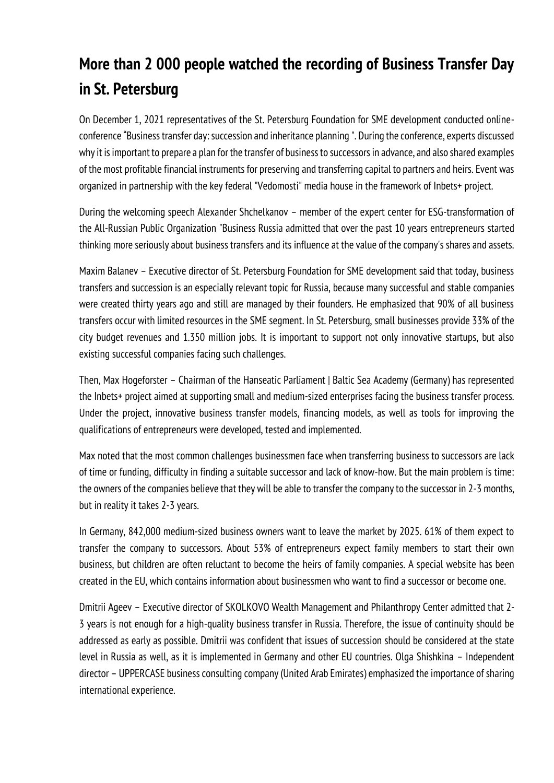## **More than 2 000 people watched the recording of Business Transfer Day in St. Petersburg**

On December 1, 2021 representatives of the St. Petersburg Foundation for SME development conducted onlineconference "Business transfer day: succession and inheritance planning ". During the conference, experts discussed why it is important to prepare a plan for the transfer of business to successors in advance, and also shared examples of the most profitable financial instruments for preserving and transferring capital to partners and heirs. Event was organized in partnership with the key federal "Vedomosti" media house in the framework of Inbets+ project.

During the welcoming speech Alexander Shchelkanov – member of the expert center for ESG-transformation of the All-Russian Public Organization "Business Russia admitted that over the past 10 years entrepreneurs started thinking more seriously about business transfers and its influence at the value of the company's shares and assets.

Maxim Balanev – Executive director of St. Petersburg Foundation for SME development said that today, business transfers and succession is an especially relevant topic for Russia, because many successful and stable companies were created thirty years ago and still are managed by their founders. He emphasized that 90% of all business transfers occur with limited resources in the SME segment. In St. Petersburg, small businesses provide 33% of the city budget revenues and 1.350 million jobs. It is important to support not only innovative startups, but also existing successful companies facing such challenges.

Then, Max Hogeforster – Chairman of the Hanseatic Parliament | Baltic Sea Academy (Germany) has represented the Inbets+ project aimed at supporting small and medium-sized enterprises facing the business transfer process. Under the project, innovative business transfer models, financing models, as well as tools for improving the qualifications of entrepreneurs were developed, tested and implemented.

Max noted that the most common challenges businessmen face when transferring business to successors are lack of time or funding, difficulty in finding a suitable successor and lack of know-how. But the main problem is time: the owners of the companies believe that they will be able to transfer the company to the successor in 2-3 months, but in reality it takes 2-3 years.

In Germany, 842,000 medium-sized business owners want to leave the market by 2025. 61% of them expect to transfer the company to successors. About 53% of entrepreneurs expect family members to start their own business, but children are often reluctant to become the heirs of family companies. A special website has been created in the EU, which contains information about businessmen who want to find a successor or become one.

Dmitrii Ageev – Executive director of SKOLKOVO Wealth Management and Philanthropy Center admitted that 2- 3 years is not enough for a high-quality business transfer in Russia. Therefore, the issue of continuity should be addressed as early as possible. Dmitrii was confident that issues of succession should be considered at the state level in Russia as well, as it is implemented in Germany and other EU countries. Olga Shishkina – Independent director – UPPERCASE business consulting company (United Arab Emirates) emphasized the importance of sharing international experience.